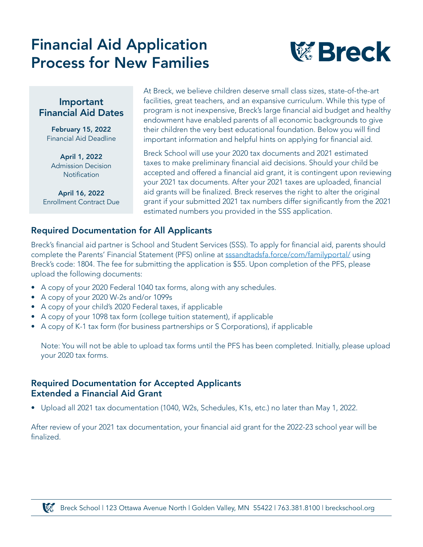# Financial Aid Application Process for New Families



#### Important Financial Aid Dates

February 15, 2022 Financial Aid Deadline

April 1, 2022 Admission Decision **Notification** 

April 16, 2022 Enrollment Contract Due At Breck, we believe children deserve small class sizes, state-of-the-art facilities, great teachers, and an expansive curriculum. While this type of program is not inexpensive, Breck's large financial aid budget and healthy endowment have enabled parents of all economic backgrounds to give their children the very best educational foundation. Below you will find important information and helpful hints on applying for financial aid.

Breck School will use your 2020 tax documents and 2021 estimated taxes to make preliminary financial aid decisions. Should your child be accepted and offered a financial aid grant, it is contingent upon reviewing your 2021 tax documents. After your 2021 taxes are uploaded, financial aid grants will be finalized. Breck reserves the right to alter the original grant if your submitted 2021 tax numbers differ significantly from the 2021 estimated numbers you provided in the SSS application.

#### Required Documentation for All Applicants

Breck's financial aid partner is School and Student Services (SSS). To apply for financial aid, parents should complete the Parents' Financial Statement (PFS) online at [sssandtadsfa.force/com/familyportal/](https://sssandtadsfa.force.com/familyportal/FamilyLogin?startURL=%2Ffamilyportal) using Breck's code: 1804. The fee for submitting the application is \$55. Upon completion of the PFS, please upload the following documents:

- A copy of your 2020 Federal 1040 tax forms, along with any schedules.
- A copy of your 2020 W-2s and/or 1099s
- A copy of your child's 2020 Federal taxes, if applicable
- A copy of your 1098 tax form (college tuition statement), if applicable
- A copy of K-1 tax form (for business partnerships or S Corporations), if applicable

Note: You will not be able to upload tax forms until the PFS has been completed. Initially, please upload your 2020 tax forms.

#### Required Documentation for Accepted Applicants Extended a Financial Aid Grant

• Upload all 2021 tax documentation (1040, W2s, Schedules, K1s, etc.) no later than May 1, 2022.

After review of your 2021 tax documentation, your financial aid grant for the 2022-23 school year will be finalized.